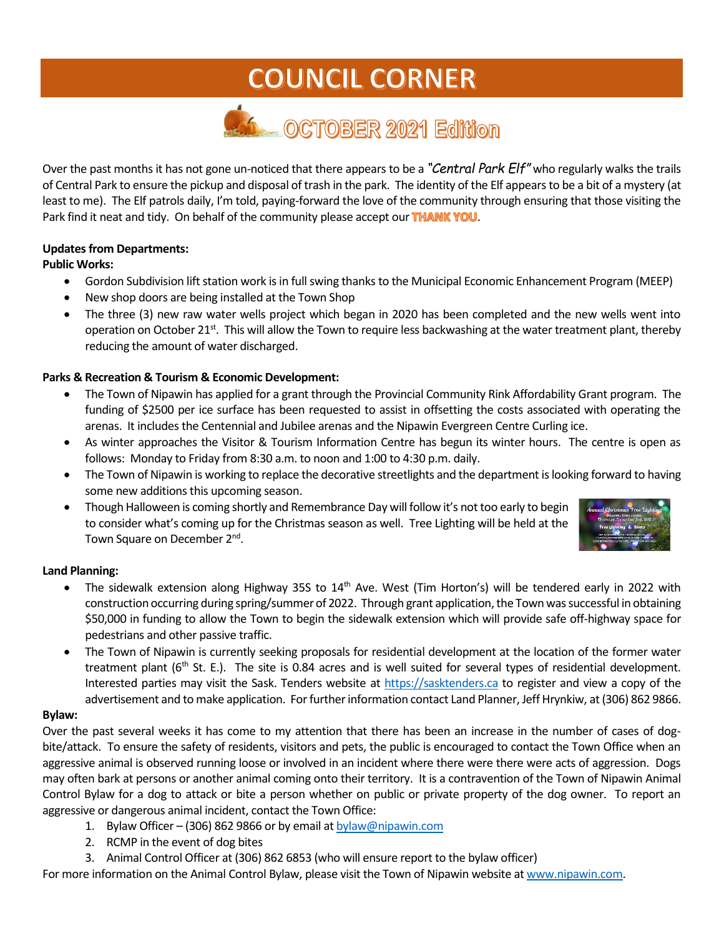# **COUNCIL CORNER**



Over the past months it has not gone un-noticed that there appears to be a *"Central Park Elf"* who regularly walks the trails of Central Park to ensure the pickup and disposal of trash in the park. The identity of the Elf appears to be a bit of a mystery (at least to me). The Elf patrols daily, I'm told, paying-forward the love of the community through ensuring that those visiting the Park find it neat and tidy. On behalf of the community please accept our THANK YOU.

# **Updates from Departments:**

## **Public Works:**

- Gordon Subdivision lift station work is in full swing thanks to the Municipal Economic Enhancement Program (MEEP)
- New shop doors are being installed at the Town Shop
- The three (3) new raw water wells project which began in 2020 has been completed and the new wells went into operation on October 21<sup>st</sup>. This will allow the Town to require less backwashing at the water treatment plant, thereby reducing the amount of water discharged.

## **Parks & Recreation & Tourism & Economic Development:**

- The Town of Nipawin has applied for a grant through the Provincial Community Rink Affordability Grant program. The funding of \$2500 per ice surface has been requested to assist in offsetting the costs associated with operating the arenas. It includes the Centennial and Jubilee arenas and the Nipawin Evergreen Centre Curling ice.
- As winter approaches the Visitor & Tourism Information Centre has begun its winter hours. The centre is open as follows: Monday to Friday from 8:30 a.m. to noon and 1:00 to 4:30 p.m. daily.
- The Town of Nipawin is working to replace the decorative streetlights and the department is looking forward to having some new additions this upcoming season.
- Though Halloween is coming shortly and Remembrance Day will follow it's not too early to begin to consider what's coming up for the Christmas season as well. Tree Lighting will be held at the Town Square on December 2<sup>nd</sup>.



#### **Land Planning:**

- The sidewalk extension along Highway 35S to  $14<sup>th</sup>$  Ave. West (Tim Horton's) will be tendered early in 2022 with construction occurring during spring/summer of 2022. Through grant application, the Town was successful in obtaining \$50,000 in funding to allow the Town to begin the sidewalk extension which will provide safe off-highway space for pedestrians and other passive traffic.
- The Town of Nipawin is currently seeking proposals for residential development at the location of the former water treatment plant (6<sup>th</sup> St. E.). The site is 0.84 acres and is well suited for several types of residential development. Interested parties may visit the Sask. Tenders website at [https://sasktenders.ca](https://sasktenders.ca/) to register and view a copy of the advertisement and to make application. For further information contact Land Planner, Jeff Hrynkiw, at (306) 862 9866.

#### **Bylaw:**

Over the past several weeks it has come to my attention that there has been an increase in the number of cases of dogbite/attack. To ensure the safety of residents, visitors and pets, the public is encouraged to contact the Town Office when an aggressive animal is observed running loose or involved in an incident where there were there were acts of aggression. Dogs may often bark at persons or another animal coming onto their territory. It is a contravention of the Town of Nipawin Animal Control Bylaw for a dog to attack or bite a person whether on public or private property of the dog owner. To report an aggressive or dangerous animal incident, contact the Town Office:

- 1. Bylaw Officer (306) 862 9866 or by email a[t bylaw@nipawin.com](mailto:bylaw@nipawin.com)
- 2. RCMP in the event of dog bites
- 3. Animal Control Officer at (306) 862 6853 (who will ensure report to the bylaw officer)

For more information on the Animal Control Bylaw, please visit the Town of Nipawin website at [www.nipawin.com.](http://www.nipawin.com/)